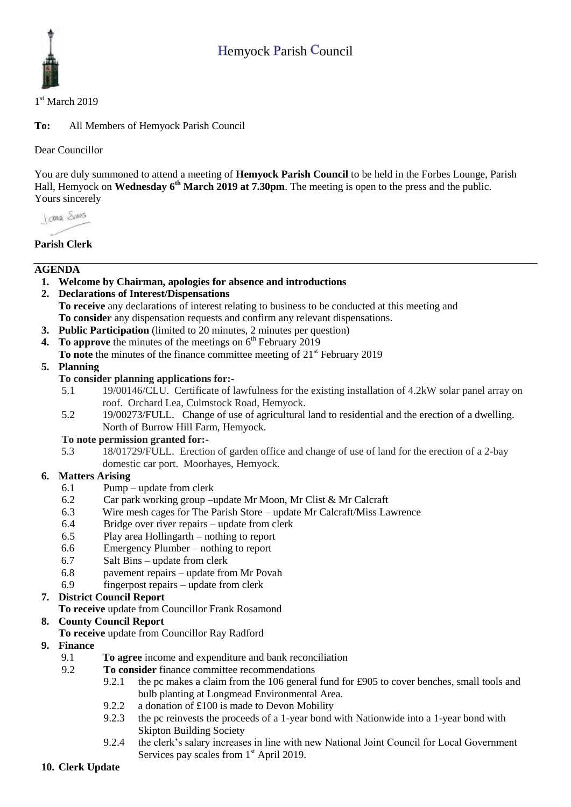# Hemyock Parish Council



### 1st March 2019

**To:** All Members of Hemyock Parish Council

Dear Councillor

You are duly summoned to attend a meeting of **Hemyock Parish Council** to be held in the Forbes Lounge, Parish Hall, Hemyock on **Wednesday** 6<sup>th</sup> March 2019 at 7.30pm. The meeting is open to the press and the public. Yours sincerely

I awa Shans

# **Parish Clerk**

# **AGENDA**

- **1. Welcome by Chairman, apologies for absence and introductions**
- **2. Declarations of Interest/Dispensations To receive** any declarations of interest relating to business to be conducted at this meeting and **To consider** any dispensation requests and confirm any relevant dispensations.
- **3. Public Participation** (limited to 20 minutes, 2 minutes per question)
- **4.** To approve the minutes of the meetings on 6<sup>th</sup> February 2019
- **To note** the minutes of the finance committee meeting of 21<sup>st</sup> February 2019

#### **5. Planning**

#### **To consider planning applications for:-**

- 5.1 19/00146/CLU. Certificate of lawfulness for the existing installation of 4.2kW solar panel array on roof. Orchard Lea, Culmstock Road, Hemyock.
- 5.2 19/00273/FULL. Change of use of agricultural land to residential and the erection of a dwelling. North of Burrow Hill Farm, Hemyock.

#### **To note permission granted for:-**

5.3 18/01729/FULL. Erection of garden office and change of use of land for the erection of a 2-bay domestic car port. Moorhayes, Hemyock.

## **6. Matters Arising**

- 6.1 Pump update from clerk
- 6.2 Car park working group –update Mr Moon, Mr Clist & Mr Calcraft
- 6.3 Wire mesh cages for The Parish Store update Mr Calcraft/Miss Lawrence
- 6.4 Bridge over river repairs update from clerk
- 6.5 Play area Hollingarth nothing to report
- 6.6 Emergency Plumber nothing to report
- 6.7 Salt Bins update from clerk
- 6.8 pavement repairs update from Mr Povah
- 6.9 fingerpost repairs update from clerk

## **7. District Council Report**

**To receive** update from Councillor Frank Rosamond

## **8. County Council Report**

#### **To receive** update from Councillor Ray Radford

- **9. Finance** 
	- 9.1 **To agree** income and expenditure and bank reconciliation
	- 9.2 **To consider** finance committee recommendations
		- 9.2.1 the pc makes a claim from the 106 general fund for £905 to cover benches, small tools and bulb planting at Longmead Environmental Area.
		- 9.2.2 a donation of £100 is made to Devon Mobility
		- 9.2.3 the pc reinvests the proceeds of a 1-year bond with Nationwide into a 1-year bond with Skipton Building Society
		- 9.2.4 the clerk's salary increases in line with new National Joint Council for Local Government Services pay scales from  $1<sup>st</sup>$  April 2019.